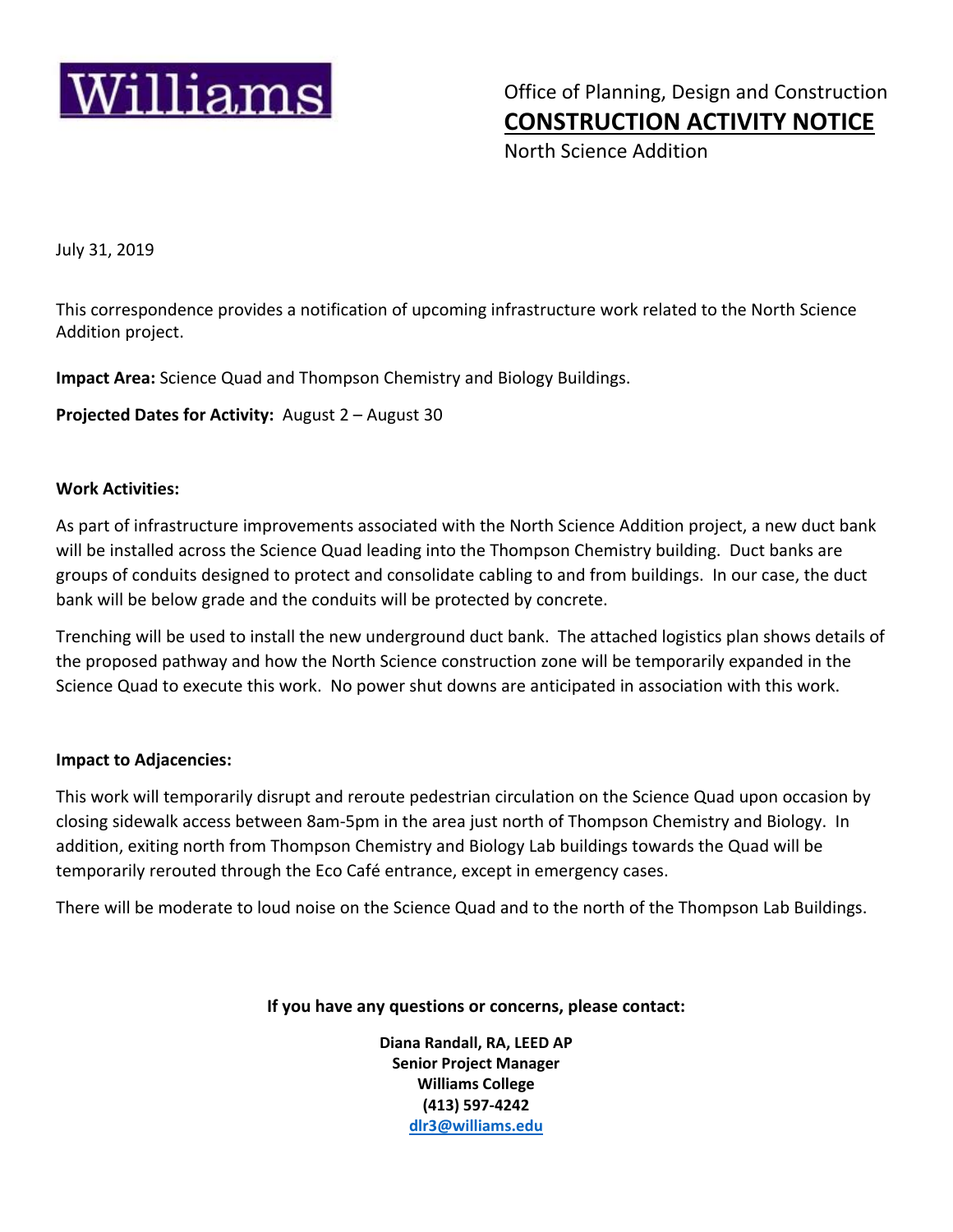

 $\text{Williams}{}|~$  Office of Planning, Design and Construction  **CONSTRUCTION ACTIVITY NOTICE**

North Science Addition

July 31, 2019

This correspondence provides a notification of upcoming infrastructure work related to the North Science Addition project.

**Impact Area:** Science Quad and Thompson Chemistry and Biology Buildings.

**Projected Dates for Activity:** August 2 – August 30

## **Work Activities:**

As part of infrastructure improvements associated with the North Science Addition project, a new duct bank will be installed across the Science Quad leading into the Thompson Chemistry building. Duct banks are groups of conduits designed to protect and consolidate cabling to and from buildings. In our case, the duct bank will be below grade and the conduits will be protected by concrete.

Trenching will be used to install the new underground duct bank. The attached logistics plan shows details of the proposed pathway and how the North Science construction zone will be temporarily expanded in the Science Quad to execute this work. No power shut downs are anticipated in association with this work.

## **Impact to Adjacencies:**

This work will temporarily disrupt and reroute pedestrian circulation on the Science Quad upon occasion by closing sidewalk access between 8am‐5pm in the area just north of Thompson Chemistry and Biology. In addition, exiting north from Thompson Chemistry and Biology Lab buildings towards the Quad will be temporarily rerouted through the Eco Café entrance, except in emergency cases.

There will be moderate to loud noise on the Science Quad and to the north of the Thompson Lab Buildings.

**If you have any questions or concerns, please contact:**

**Diana Randall, RA, LEED AP Senior Project Manager Williams College (413) 597‐4242 dlr3@williams.edu**